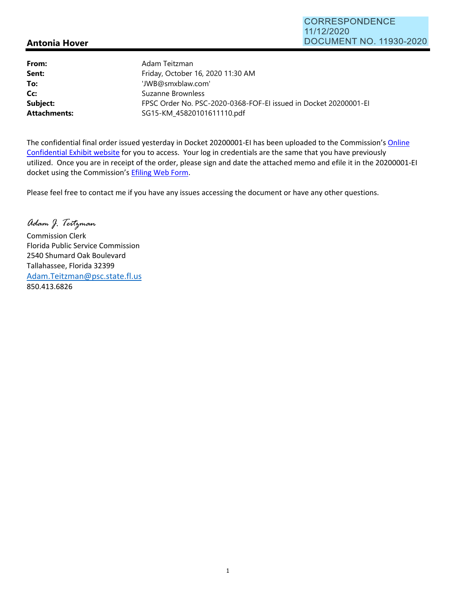## **Antonia Hover**

| From:               | Adam Teitzman                                                    |
|---------------------|------------------------------------------------------------------|
| Sent:               | Friday, October 16, 2020 11:30 AM                                |
| To:                 | 'JWB@smxblaw.com'                                                |
| Cc:                 | Suzanne Brownless                                                |
| Subject:            | FPSC Order No. PSC-2020-0368-FOF-EI issued in Docket 20200001-EI |
| <b>Attachments:</b> | SG15-KM_45820101611110.pdf                                       |

The confidential final order issued yesterday in Docket 20200001-EI has been uploaded to the Commission's Online Confidential Exhibit website for you to access. Your log in credentials are the same that you have previously utilized. Once you are in receipt of the order, please sign and date the attached memo and efile it in the 20200001‐EI docket using the Commission's Efiling Web Form.

Please feel free to contact me if you have any issues accessing the document or have any other questions.

*Adam J. Teitzman*  Commission Clerk Florida Public Service Commission 2540 Shumard Oak Boulevard Tallahassee, Florida 32399 Adam.Teitzman@psc.state.fl.us

850.413.6826